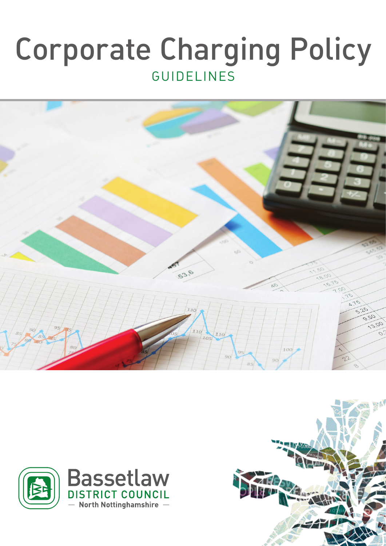# Corporate Charging Policy GUIDELINES





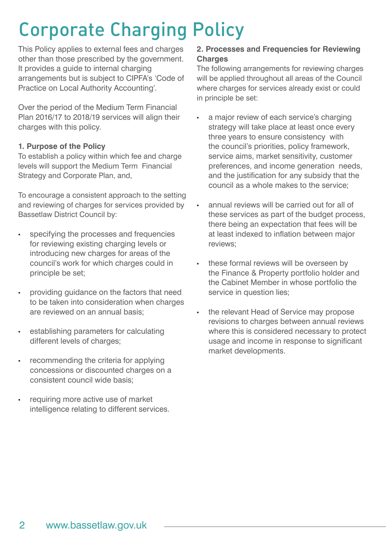### Corporate Charging Policy

This Policy applies to external fees and charges other than those prescribed by the government. It provides a guide to internal charging arrangements but is subject to CIPFA's 'Code of Practice on Local Authority Accounting'.

Over the period of the Medium Term Financial Plan 2016/17 to 2018/19 services will align their charges with this policy.

#### **1. Purpose of the Policy**

To establish a policy within which fee and charge levels will support the Medium Term Financial Strategy and Corporate Plan, and,

To encourage a consistent approach to the setting and reviewing of charges for services provided by Bassetlaw District Council by:

- specifying the processes and frequencies for reviewing existing charging levels or introducing new charges for areas of the council's work for which charges could in principle be set;
- providing guidance on the factors that need to be taken into consideration when charges are reviewed on an annual basis;
- establishing parameters for calculating different levels of charges;
- recommending the criteria for applying concessions or discounted charges on a consistent council wide basis;
- requiring more active use of market intelligence relating to different services.

### **2. Processes and Frequencies for Reviewing Charges**

The following arrangements for reviewing charges will be applied throughout all areas of the Council where charges for services already exist or could in principle be set:

- a major review of each service's charging strategy will take place at least once every three years to ensure consistency with the council's priorities, policy framework, service aims, market sensitivity, customer preferences, and income generation needs, and the justification for any subsidy that the council as a whole makes to the service;
- annual reviews will be carried out for all of these services as part of the budget process, there being an expectation that fees will be at least indexed to inflation between major reviews;
- these formal reviews will be overseen by the Finance & Property portfolio holder and the Cabinet Member in whose portfolio the service in question lies;
- the relevant Head of Service may propose revisions to charges between annual reviews where this is considered necessary to protect usage and income in response to significant market developments.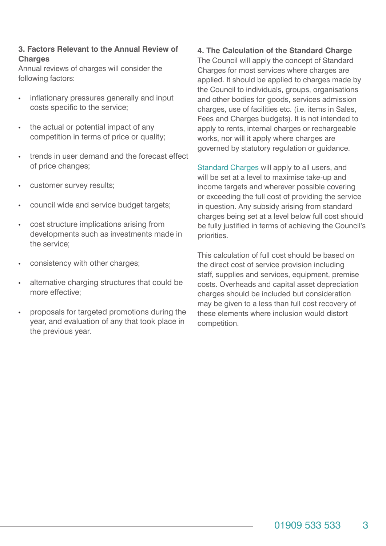#### **3. Factors Relevant to the Annual Review of Charges**

Annual reviews of charges will consider the following factors:

- inflationary pressures generally and input costs specific to the service;
- the actual or potential impact of any competition in terms of price or quality;
- trends in user demand and the forecast effect of price changes;
- customer survey results;
- council wide and service budget targets;
- cost structure implications arising from developments such as investments made in the service;
- consistency with other charges;
- alternative charging structures that could be more effective;
- proposals for targeted promotions during the year, and evaluation of any that took place in the previous year.

#### **4. The Calculation of the Standard Charge**

The Council will apply the concept of Standard Charges for most services where charges are applied. It should be applied to charges made by the Council to individuals, groups, organisations and other bodies for goods, services admission charges, use of facilities etc. (i.e. items in Sales, Fees and Charges budgets). It is not intended to apply to rents, internal charges or rechargeable works, nor will it apply where charges are governed by statutory regulation or guidance.

Standard Charges will apply to all users, and will be set at a level to maximise take-up and income targets and wherever possible covering or exceeding the full cost of providing the service in question. Any subsidy arising from standard charges being set at a level below full cost should be fully justified in terms of achieving the Council's priorities.

This calculation of full cost should be based on the direct cost of service provision including staff, supplies and services, equipment, premise costs. Overheads and capital asset depreciation charges should be included but consideration may be given to a less than full cost recovery of these elements where inclusion would distort competition.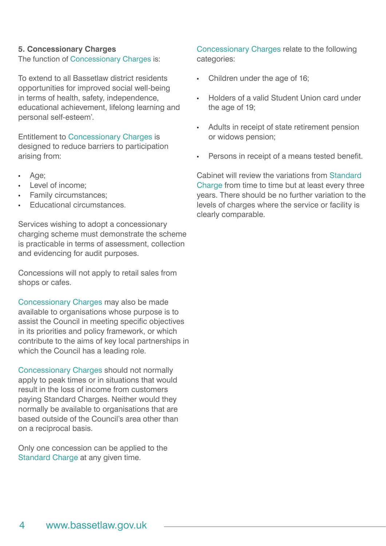#### **5. Concessionary Charges**

The function of Concessionary Charges is:

To extend to all Bassetlaw district residents opportunities for improved social well-being in terms of health, safety, independence, educational achievement, lifelong learning and personal self-esteem'.

Entitlement to Concessionary Charges is designed to reduce barriers to participation arising from:

- Age;
- Level of income:
- Family circumstances;
- Educational circumstances.

Services wishing to adopt a concessionary charging scheme must demonstrate the scheme is practicable in terms of assessment, collection and evidencing for audit purposes.

Concessions will not apply to retail sales from shops or cafes.

Concessionary Charges may also be made available to organisations whose purpose is to assist the Council in meeting specific objectives in its priorities and policy framework, or which contribute to the aims of key local partnerships in which the Council has a leading role.

Concessionary Charges should not normally apply to peak times or in situations that would result in the loss of income from customers paying Standard Charges. Neither would they normally be available to organisations that are based outside of the Council's area other than on a reciprocal basis.

Only one concession can be applied to the Standard Charge at any given time.

Concessionary Charges relate to the following categories:

- Children under the age of 16;
- Holders of a valid Student Union card under the age of 19;
- Adults in receipt of state retirement pension or widows pension;
- Persons in receipt of a means tested benefit.

Cabinet will review the variations from Standard Charge from time to time but at least every three years. There should be no further variation to the levels of charges where the service or facility is clearly comparable.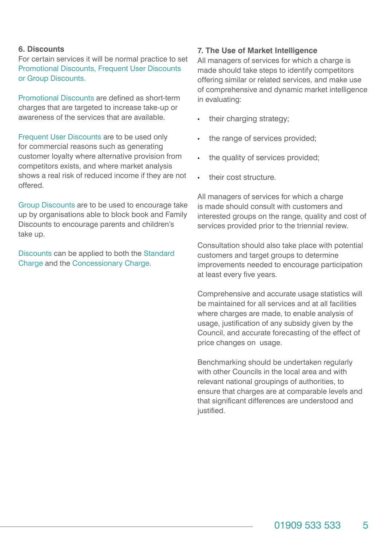#### **6. Discounts**

For certain services it will be normal practice to set Promotional Discounts, Frequent User Discounts or Group Discounts.

Promotional Discounts are defined as short-term charges that are targeted to increase take-up or awareness of the services that are available.

Frequent User Discounts are to be used only for commercial reasons such as generating customer loyalty where alternative provision from competitors exists, and where market analysis shows a real risk of reduced income if they are not offered.

Group Discounts are to be used to encourage take up by organisations able to block book and Family Discounts to encourage parents and children's take up.

Discounts can be applied to both the Standard Charge and the Concessionary Charge.

#### **7. The Use of Market Intelligence**

All managers of services for which a charge is made should take steps to identify competitors offering similar or related services, and make use of comprehensive and dynamic market intelligence in evaluating:

- their charging strategy;
- the range of services provided;
- the quality of services provided;
- their cost structure.

All managers of services for which a charge is made should consult with customers and interested groups on the range, quality and cost of services provided prior to the triennial review.

Consultation should also take place with potential customers and target groups to determine improvements needed to encourage participation at least every five years.

Comprehensive and accurate usage statistics will be maintained for all services and at all facilities where charges are made, to enable analysis of usage, justification of any subsidy given by the Council, and accurate forecasting of the effect of price changes on usage.

Benchmarking should be undertaken regularly with other Councils in the local area and with relevant national groupings of authorities, to ensure that charges are at comparable levels and that significant differences are understood and justified.